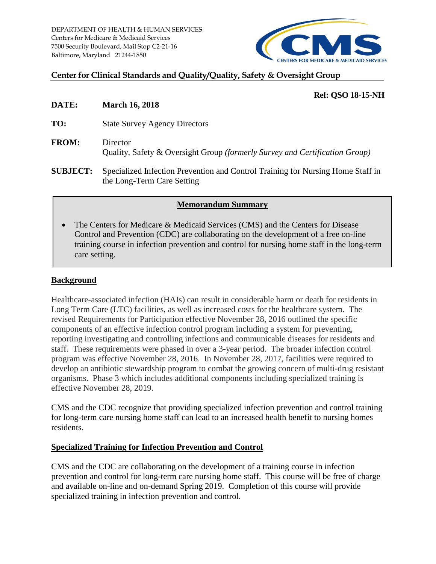

#### **Center for Clinical Standards and Quality/Quality, Safety & Oversight Group**

# **Ref: QSO 18-15-NH**

- **DATE: March 16, 2018 TO:** State Survey Agency Directors **FROM:** Director Quality, Safety & Oversight Group *(formerly Survey and Certification Group)*
- **SUBJECT:** Specialized Infection Prevention and Control Training for Nursing Home Staff in the Long-Term Care Setting

## **Memorandum Summary**

• The Centers for Medicare & Medicaid Services (CMS) and the Centers for Disease Control and Prevention (CDC) are collaborating on the development of a free on-line training course in infection prevention and control for nursing home staff in the long-term care setting.

# **Background**

Healthcare-associated infection (HAIs) can result in considerable harm or death for residents in Long Term Care (LTC) facilities, as well as increased costs for the healthcare system. The revised Requirements for Participation effective November 28, 2016 outlined the specific components of an effective infection control program including a system for preventing, reporting investigating and controlling infections and communicable diseases for residents and staff. These requirements were phased in over a 3-year period. The broader infection control program was effective November 28, 2016. In November 28, 2017, facilities were required to develop an antibiotic stewardship program to combat the growing concern of multi-drug resistant organisms. Phase 3 which includes additional components including specialized training is effective November 28, 2019.

CMS and the CDC recognize that providing specialized infection prevention and control training for long-term care nursing home staff can lead to an increased health benefit to nursing homes residents.

## **Specialized Training for Infection Prevention and Control**

CMS and the CDC are collaborating on the development of a training course in infection prevention and control for long-term care nursing home staff. This course will be free of charge and available on-line and on-demand Spring 2019. Completion of this course will provide specialized training in infection prevention and control.